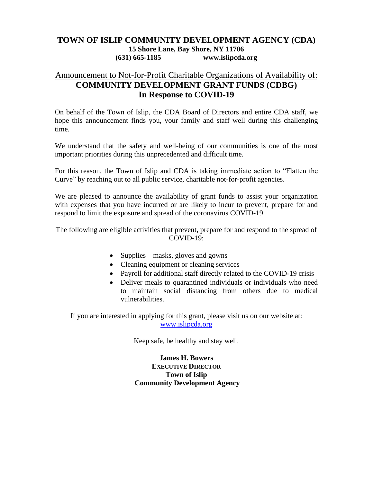### **TOWN OF ISLIP COMMUNITY DEVELOPMENT AGENCY (CDA) 15 Shore Lane, Bay Shore, NY 11706 (631) 665-1185 www.islipcda.org**

### Announcement to Not-for-Profit Charitable Organizations of Availability of: **COMMUNITY DEVELOPMENT GRANT FUNDS (CDBG) In Response to COVID-19**

On behalf of the Town of Islip, the CDA Board of Directors and entire CDA staff, we hope this announcement finds you, your family and staff well during this challenging time.

We understand that the safety and well-being of our communities is one of the most important priorities during this unprecedented and difficult time.

For this reason, the Town of Islip and CDA is taking immediate action to "Flatten the Curve" by reaching out to all public service, charitable not-for-profit agencies.

We are pleased to announce the availability of grant funds to assist your organization with expenses that you have incurred or are likely to incur to prevent, prepare for and respond to limit the exposure and spread of the coronavirus COVID-19.

The following are eligible activities that prevent, prepare for and respond to the spread of COVID-19:

- Supplies masks, gloves and gowns
- Cleaning equipment or cleaning services
- Payroll for additional staff directly related to the COVID-19 crisis
- Deliver meals to quarantined individuals or individuals who need to maintain social distancing from others due to medical vulnerabilities.

If you are interested in applying for this grant, please visit us on our website at: [www.islipcda.org](http://www.islipcda.org/)

Keep safe, be healthy and stay well.

**James H. Bowers EXECUTIVE DIRECTOR Town of Islip Community Development Agency**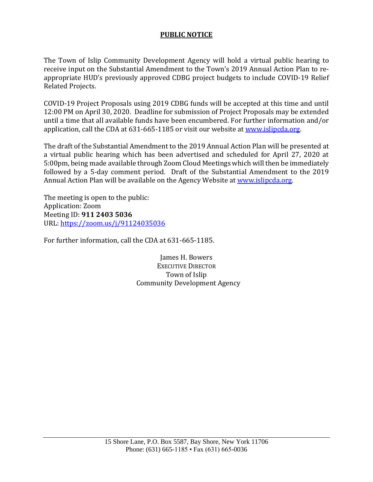### **PUBLIC NOTICE**

The Town of Islip Community Development Agency will hold a virtual public hearing to receive input on the Substantial Amendment to the Town's 2019 Annual Action Plan to reappropriate HUD's previously approved CDBG project budgets to include COVID-19 Relief Related Projects.

COVID-19 Project Proposals using 2019 CDBG funds will be accepted at this time and until 12:00 PM on April 30, 2020. Deadline for submission of Project Proposals may be extended until a time that all available funds have been encumbered. For further information and/or application, call the CDA at 631-665-1185 or visit our website at [www.islipcda.org.](http://www.islipcda.org/)

The draft of the Substantial Amendment to the 2019 Annual Action Plan will be presented at a virtual public hearing which has been advertised and scheduled for April 27, 2020 at 5:00pm, being made available through Zoom Cloud Meetings which will then be immediately followed by a 5-day comment period. Draft of the Substantial Amendment to the 2019 Annual Action Plan will be available on the Agency Website a[t www.islipcda.org.](http://www.islipcda.org/)

The meeting is open to the public: Application: Zoom Meeting ID: **911 2403 5036** URL:<https://zoom.us/j/91124035036>

For further information, call the CDA at 631-665-1185.

James H. Bowers EXECUTIVE DIRECTOR Town of Islip Community Development Agency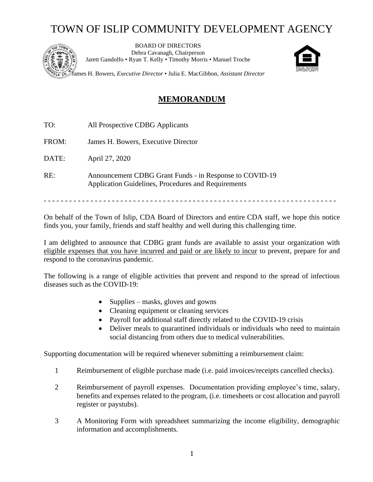# TOWN OF ISLIP COMMUNITY DEVELOPMENT AGENCY



BOARD OF DIRECTORS Debra Cavanagh, Chairperson Jarett Gandolfo • Ryan T. Kelly • Timothy Morris • Manuel Troche



James H. Bowers, *Executive Director* • Julia E. MacGibbon, *Assistant Director*

## **MEMORANDUM**

- TO: All Prospective CDBG Applicants
- FROM: James H. Bowers, Executive Director

DATE: April 27, 2020

RE: Announcement CDBG Grant Funds - in Response to COVID-19 Application Guidelines, Procedures and Requirements

- - - - - - - - - - - - - - - - - - - - - - - - - - - - - - - - - - - - - - - - - - - - - - - - - - - - - - - - - - - - - - - - - - - - -

On behalf of the Town of Islip, CDA Board of Directors and entire CDA staff, we hope this notice finds you, your family, friends and staff healthy and well during this challenging time.

I am delighted to announce that CDBG grant funds are available to assist your organization with eligible expenses that you have incurred and paid or are likely to incur to prevent, prepare for and respond to the coronavirus pandemic.

The following is a range of eligible activities that prevent and respond to the spread of infectious diseases such as the COVID-19:

- Supplies masks, gloves and gowns
- Cleaning equipment or cleaning services
- Payroll for additional staff directly related to the COVID-19 crisis
- Deliver meals to quarantined individuals or individuals who need to maintain social distancing from others due to medical vulnerabilities.

Supporting documentation will be required whenever submitting a reimbursement claim:

- 1 Reimbursement of eligible purchase made (i.e. paid invoices/receipts cancelled checks).
- 2 Reimbursement of payroll expenses. Documentation providing employee's time, salary, benefits and expenses related to the program, (i.e. timesheets or cost allocation and payroll register or paystubs).
- 3 A Monitoring Form with spreadsheet summarizing the income eligibility, demographic information and accomplishments.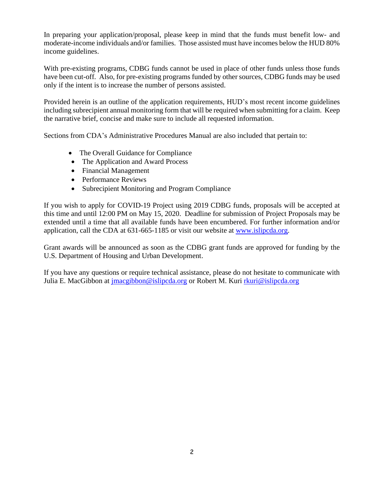In preparing your application/proposal, please keep in mind that the funds must benefit low- and moderate-income individuals and/or families. Those assisted must have incomes below the HUD 80% income guidelines.

With pre-existing programs, CDBG funds cannot be used in place of other funds unless those funds have been cut-off. Also, for pre-existing programs funded by other sources, CDBG funds may be used only if the intent is to increase the number of persons assisted.

Provided herein is an outline of the application requirements, HUD's most recent income guidelines including subrecipient annual monitoring form that will be required when submitting for a claim. Keep the narrative brief, concise and make sure to include all requested information.

Sections from CDA's Administrative Procedures Manual are also included that pertain to:

- The Overall Guidance for Compliance
- The Application and Award Process
- Financial Management
- Performance Reviews
- Subrecipient Monitoring and Program Compliance

If you wish to apply for COVID-19 Project using 2019 CDBG funds, proposals will be accepted at this time and until 12:00 PM on May 15, 2020. Deadline for submission of Project Proposals may be extended until a time that all available funds have been encumbered. For further information and/or application, call the CDA at 631-665-1185 or visit our website at [www.islipcda.org.](http://www.islipcda.org/)

Grant awards will be announced as soon as the CDBG grant funds are approved for funding by the U.S. Department of Housing and Urban Development.

If you have any questions or require technical assistance, please do not hesitate to communicate with Julia E. MacGibbon at [jmacgibbon@islipcda.org](mailto:jmacgibbon@islipcda.org) or Robert M. Kuri [rkuri@islipcda.org](mailto:rkuri@islipcda.org)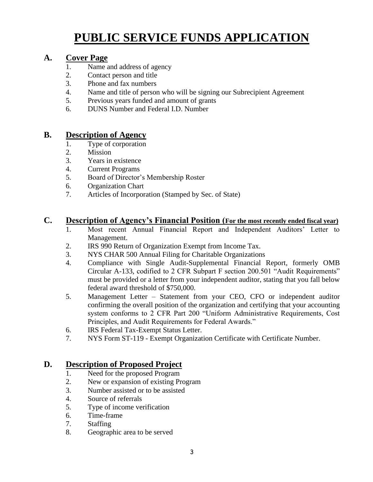# **PUBLIC SERVICE FUNDS APPLICATION**

## **A. Cover Page**

- 1. Name and address of agency
- 2. Contact person and title
- 3. Phone and fax numbers
- 4. Name and title of person who will be signing our Subrecipient Agreement
- 5. Previous years funded and amount of grants
- 6. DUNS Number and Federal I.D. Number

### **B. Description of Agency**

- 1. Type of corporation
- 2. Mission
- 3. Years in existence
- 4. Current Programs
- 5. Board of Director's Membership Roster
- 6. Organization Chart
- 7. Articles of Incorporation (Stamped by Sec. of State)

### **C. Description of Agency's Financial Position (For the most recently ended fiscal year)**

- 1. Most recent Annual Financial Report and Independent Auditors' Letter to Management.
- 2. IRS 990 Return of Organization Exempt from Income Tax.
- 3. NYS CHAR 500 Annual Filing for Charitable Organizations
- 4. Compliance with Single Audit-Supplemental Financial Report, formerly OMB Circular A-133, codified to 2 CFR Subpart F section 200.501 "Audit Requirements" must be provided or a letter from your independent auditor, stating that you fall below federal award threshold of \$750,000.
- 5. Management Letter Statement from your CEO, CFO or independent auditor confirming the overall position of the organization and certifying that your accounting system conforms to 2 CFR Part 200 "Uniform Administrative Requirements, Cost Principles, and Audit Requirements for Federal Awards."
- 6. IRS Federal Tax-Exempt Status Letter.
- 7. NYS Form ST-119 Exempt Organization Certificate with Certificate Number.

### **D. Description of Proposed Project**

- 1. Need for the proposed Program
- 2. New or expansion of existing Program
- 3. Number assisted or to be assisted
- 4. Source of referrals
- 5. Type of income verification
- 6. Time-frame
- 7. Staffing
- 8. Geographic area to be served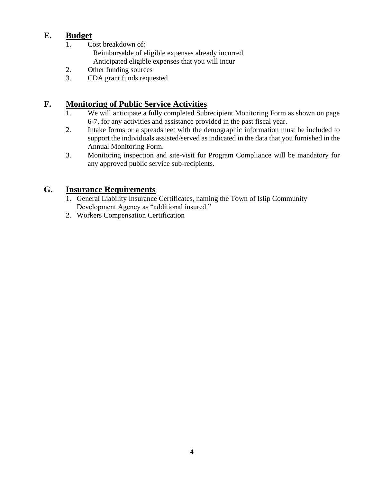## **E. Budget**

- 1. Cost breakdown of: Reimbursable of eligible expenses already incurred Anticipated eligible expenses that you will incur
- 2. Other funding sources
- 3. CDA grant funds requested

## **F. Monitoring of Public Service Activities**

- 1. We will anticipate a fully completed Subrecipient Monitoring Form as shown on page 6-7, for any activities and assistance provided in the past fiscal year.
- 2. Intake forms or a spreadsheet with the demographic information must be included to support the individuals assisted/served as indicated in the data that you furnished in the Annual Monitoring Form.
- 3. Monitoring inspection and site-visit for Program Compliance will be mandatory for any approved public service sub-recipients.

## **G. Insurance Requirements**

- 1. General Liability Insurance Certificates, naming the Town of Islip Community Development Agency as "additional insured."
- 2. Workers Compensation Certification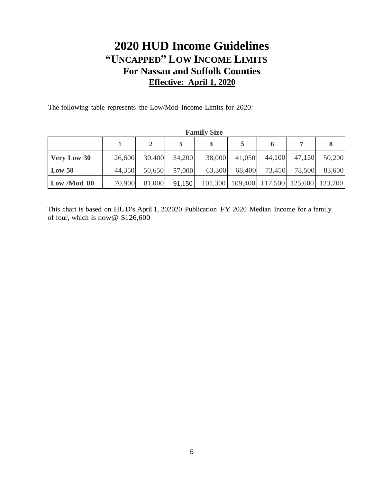# **2020 HUD Income Guidelines "UNCAPPED" LOW INCOME LIMITS For Nassau and Suffolk Counties Effective: April 1, 2020**

The following table represents the Low/Mod Income Limits for 2020:

| <b>Fallin</b> Dize |        |        |        |        |                                         |        |        |        |
|--------------------|--------|--------|--------|--------|-----------------------------------------|--------|--------|--------|
|                    |        |        |        |        |                                         |        |        |        |
| <b>Very Low 30</b> | 26,600 | 30,400 | 34,200 | 38,000 | 41,050                                  | 44,100 | 47,150 | 50,200 |
| Low 50             | 44,350 | 50,650 | 57,000 | 63,300 | 68,400                                  | 73,450 | 78,500 | 83,600 |
| Low /Mod 80        | 70,900 | 81,000 | 91,150 |        | 101,300 109,400 117,500 125,600 133,700 |        |        |        |

**Family Size**

This chart is based on HUD's April 1, 202020 Publication FY 2020 Median Income for a family of four, which is now@ \$126,600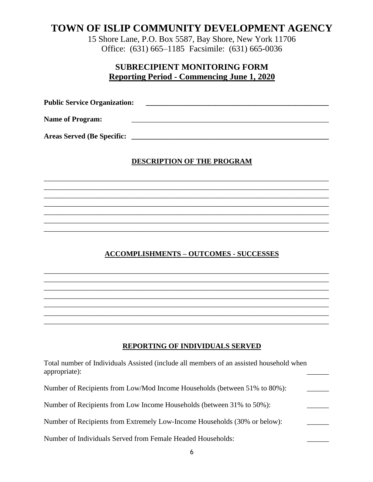## **TOWN OF ISLIP COMMUNITY DEVELOPMENT AGENCY**

15 Shore Lane, P.O. Box 5587, Bay Shore, New York 11706 Office: (631) 665–1185 Facsimile: (631) 665-0036

## **SUBRECIPIENT MONITORING FORM Reporting Period - Commencing June 1, 2020**

**Public Service Organization: \_\_\_\_\_\_\_\_\_\_\_\_\_\_\_\_\_\_\_\_\_\_\_\_\_\_\_\_\_\_\_\_\_\_\_\_\_\_\_\_\_\_\_\_\_\_\_\_\_\_** Name of Program:

**Areas Served (Be Specific: \_\_\_\_\_\_\_\_\_\_\_\_\_\_\_\_\_\_\_\_\_\_\_\_\_\_\_\_\_\_\_\_\_\_\_\_\_\_\_\_\_\_\_\_\_\_\_\_\_\_\_\_\_\_**

### **DESCRIPTION OF THE PROGRAM**

\_\_\_\_\_\_\_\_\_\_\_\_\_\_\_\_\_\_\_\_\_\_\_\_\_\_\_\_\_\_\_\_\_\_\_\_\_\_\_\_\_\_\_\_\_\_\_\_\_\_\_\_\_\_\_\_\_\_\_\_\_\_\_\_\_\_\_\_\_\_\_\_\_\_\_\_\_\_ \_\_\_\_\_\_\_\_\_\_\_\_\_\_\_\_\_\_\_\_\_\_\_\_\_\_\_\_\_\_\_\_\_\_\_\_\_\_\_\_\_\_\_\_\_\_\_\_\_\_\_\_\_\_\_\_\_\_\_\_\_\_\_\_\_\_\_\_\_\_\_\_\_\_\_\_\_\_ \_\_\_\_\_\_\_\_\_\_\_\_\_\_\_\_\_\_\_\_\_\_\_\_\_\_\_\_\_\_\_\_\_\_\_\_\_\_\_\_\_\_\_\_\_\_\_\_\_\_\_\_\_\_\_\_\_\_\_\_\_\_\_\_\_\_\_\_\_\_\_\_\_\_\_\_\_\_ \_\_\_\_\_\_\_\_\_\_\_\_\_\_\_\_\_\_\_\_\_\_\_\_\_\_\_\_\_\_\_\_\_\_\_\_\_\_\_\_\_\_\_\_\_\_\_\_\_\_\_\_\_\_\_\_\_\_\_\_\_\_\_\_\_\_\_\_\_\_\_\_\_\_\_\_\_\_

\_\_\_\_\_\_\_\_\_\_\_\_\_\_\_\_\_\_\_\_\_\_\_\_\_\_\_\_\_\_\_\_\_\_\_\_\_\_\_\_\_\_\_\_\_\_\_\_\_\_\_\_\_\_\_\_\_\_\_\_\_\_\_\_\_\_\_\_\_\_\_\_\_\_\_\_\_\_ \_\_\_\_\_\_\_\_\_\_\_\_\_\_\_\_\_\_\_\_\_\_\_\_\_\_\_\_\_\_\_\_\_\_\_\_\_\_\_\_\_\_\_\_\_\_\_\_\_\_\_\_\_\_\_\_\_\_\_\_\_\_\_\_\_\_\_\_\_\_\_\_\_\_\_\_\_\_

### **ACCOMPLISHMENTS – OUTCOMES - SUCCESSES**

\_\_\_\_\_\_\_\_\_\_\_\_\_\_\_\_\_\_\_\_\_\_\_\_\_\_\_\_\_\_\_\_\_\_\_\_\_\_\_\_\_\_\_\_\_\_\_\_\_\_\_\_\_\_\_\_\_\_\_\_\_\_\_\_\_\_\_\_\_\_\_\_\_\_\_\_\_\_ \_\_\_\_\_\_\_\_\_\_\_\_\_\_\_\_\_\_\_\_\_\_\_\_\_\_\_\_\_\_\_\_\_\_\_\_\_\_\_\_\_\_\_\_\_\_\_\_\_\_\_\_\_\_\_\_\_\_\_\_\_\_\_\_\_\_\_\_\_\_\_\_\_\_\_\_\_\_ \_\_\_\_\_\_\_\_\_\_\_\_\_\_\_\_\_\_\_\_\_\_\_\_\_\_\_\_\_\_\_\_\_\_\_\_\_\_\_\_\_\_\_\_\_\_\_\_\_\_\_\_\_\_\_\_\_\_\_\_\_\_\_\_\_\_\_\_\_\_\_\_\_\_\_\_\_\_ \_\_\_\_\_\_\_\_\_\_\_\_\_\_\_\_\_\_\_\_\_\_\_\_\_\_\_\_\_\_\_\_\_\_\_\_\_\_\_\_\_\_\_\_\_\_\_\_\_\_\_\_\_\_\_\_\_\_\_\_\_\_\_\_\_\_\_\_\_\_\_\_\_\_\_\_\_\_ \_\_\_\_\_\_\_\_\_\_\_\_\_\_\_\_\_\_\_\_\_\_\_\_\_\_\_\_\_\_\_\_\_\_\_\_\_\_\_\_\_\_\_\_\_\_\_\_\_\_\_\_\_\_\_\_\_\_\_\_\_\_\_\_\_\_\_\_\_\_\_\_\_\_\_\_\_\_ \_\_\_\_\_\_\_\_\_\_\_\_\_\_\_\_\_\_\_\_\_\_\_\_\_\_\_\_\_\_\_\_\_\_\_\_\_\_\_\_\_\_\_\_\_\_\_\_\_\_\_\_\_\_\_\_\_\_\_\_\_\_\_\_\_\_\_\_\_\_\_\_\_\_\_\_\_\_ \_\_\_\_\_\_\_\_\_\_\_\_\_\_\_\_\_\_\_\_\_\_\_\_\_\_\_\_\_\_\_\_\_\_\_\_\_\_\_\_\_\_\_\_\_\_\_\_\_\_\_\_\_\_\_\_\_\_\_\_\_\_\_\_\_\_\_\_\_\_\_\_\_\_\_\_\_\_

### **REPORTING OF INDIVIDUALS SERVED**

| Total number of Individuals Assisted (include all members of an assisted household when<br>appropriate): |  |
|----------------------------------------------------------------------------------------------------------|--|
| Number of Recipients from Low/Mod Income Households (between 51% to 80%):                                |  |
| Number of Recipients from Low Income Households (between 31% to 50%):                                    |  |
| Number of Recipients from Extremely Low-Income Households (30% or below):                                |  |
| Number of Individuals Served from Female Headed Households:                                              |  |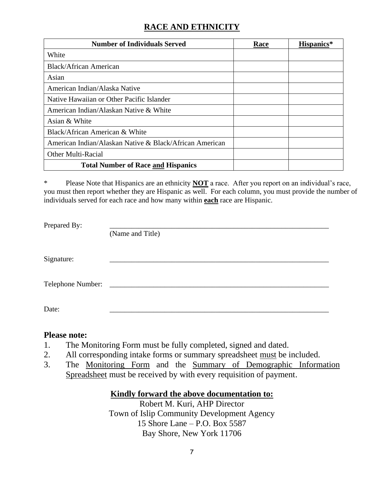## **RACE AND ETHNICITY**

| <b>Number of Individuals Served</b>                     | Race | Hispanics* |
|---------------------------------------------------------|------|------------|
| White                                                   |      |            |
| <b>Black/African American</b>                           |      |            |
| Asian                                                   |      |            |
| American Indian/Alaska Native                           |      |            |
| Native Hawaiian or Other Pacific Islander               |      |            |
| American Indian/Alaskan Native & White                  |      |            |
| Asian & White                                           |      |            |
| Black/African American & White                          |      |            |
| American Indian/Alaskan Native & Black/African American |      |            |
| Other Multi-Racial                                      |      |            |
| <b>Total Number of Race and Hispanics</b>               |      |            |

\* Please Note that Hispanics are an ethnicity **NOT** a race. After you report on an individual's race, you must then report whether they are Hispanic as well. For each column, you must provide the number of individuals served for each race and how many within **each** race are Hispanic.

Prepared By:

(Name and Title)

 $Signature:$ 

Telephone Number: \_\_\_\_\_\_\_\_\_\_\_\_\_\_\_\_\_\_\_\_\_\_\_\_\_\_\_\_\_\_\_\_\_\_\_\_\_\_\_\_\_\_\_\_\_\_\_\_\_\_\_\_\_\_\_\_\_\_\_\_

Date: \_\_\_\_\_\_\_\_\_\_\_\_\_\_\_\_\_\_\_\_\_\_\_\_\_\_\_\_\_\_\_\_\_\_\_\_\_\_\_\_\_\_\_\_\_\_\_\_\_\_\_\_\_\_\_\_\_\_\_\_

### **Please note:**

- 1. The Monitoring Form must be fully completed, signed and dated.
- 2. All corresponding intake forms or summary spreadsheet must be included.
- 3. The Monitoring Form and the Summary of Demographic Information Spreadsheet must be received by with every requisition of payment.

### **Kindly forward the above documentation to:**

Robert M. Kuri, AHP Director Town of Islip Community Development Agency 15 Shore Lane – P.O. Box 5587 Bay Shore, New York 11706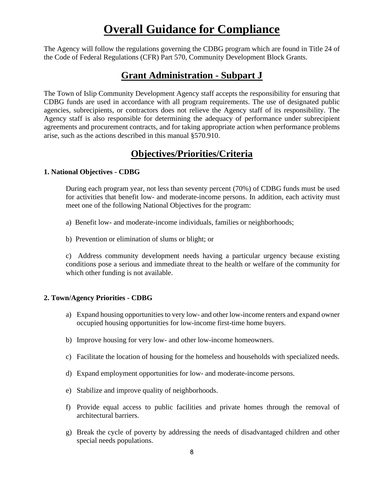# **Overall Guidance for Compliance**

The Agency will follow the regulations governing the CDBG program which are found in Title 24 of the Code of Federal Regulations (CFR) Part 570, Community Development Block Grants.

## **Grant Administration - Subpart J**

The Town of Islip Community Development Agency staff accepts the responsibility for ensuring that CDBG funds are used in accordance with all program requirements. The use of designated public agencies, subrecipients, or contractors does not relieve the Agency staff of its responsibility. The Agency staff is also responsible for determining the adequacy of performance under subrecipient agreements and procurement contracts, and for taking appropriate action when performance problems arise, such as the actions described in this manual §570.910.

## **Objectives/Priorities/Criteria**

### **1. National Objectives - CDBG**

During each program year, not less than seventy percent (70%) of CDBG funds must be used for activities that benefit low- and moderate-income persons. In addition, each activity must meet one of the following National Objectives for the program:

- a) Benefit low- and moderate-income individuals, families or neighborhoods;
- b) Prevention or elimination of slums or blight; or

c) Address community development needs having a particular urgency because existing conditions pose a serious and immediate threat to the health or welfare of the community for which other funding is not available.

### **2. Town/Agency Priorities - CDBG**

- a) Expand housing opportunities to very low- and other low-income renters and expand owner occupied housing opportunities for low-income first-time home buyers.
- b) Improve housing for very low- and other low-income homeowners.
- c) Facilitate the location of housing for the homeless and households with specialized needs.
- d) Expand employment opportunities for low- and moderate-income persons.
- e) Stabilize and improve quality of neighborhoods.
- f) Provide equal access to public facilities and private homes through the removal of architectural barriers.
- g) Break the cycle of poverty by addressing the needs of disadvantaged children and other special needs populations.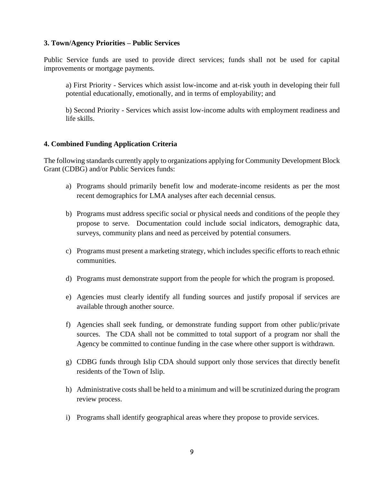#### **3. Town/Agency Priorities – Public Services**

Public Service funds are used to provide direct services; funds shall not be used for capital improvements or mortgage payments.

a) First Priority - Services which assist low-income and at-risk youth in developing their full potential educationally, emotionally, and in terms of employability; and

b) Second Priority - Services which assist low-income adults with employment readiness and life skills.

### **4. Combined Funding Application Criteria**

The following standards currently apply to organizations applying for Community Development Block Grant (CDBG) and/or Public Services funds:

- a) Programs should primarily benefit low and moderate-income residents as per the most recent demographics for LMA analyses after each decennial census.
- b) Programs must address specific social or physical needs and conditions of the people they propose to serve. Documentation could include social indicators, demographic data, surveys, community plans and need as perceived by potential consumers.
- c) Programs must present a marketing strategy, which includes specific efforts to reach ethnic communities.
- d) Programs must demonstrate support from the people for which the program is proposed.
- e) Agencies must clearly identify all funding sources and justify proposal if services are available through another source.
- f) Agencies shall seek funding, or demonstrate funding support from other public/private sources. The CDA shall not be committed to total support of a program nor shall the Agency be committed to continue funding in the case where other support is withdrawn.
- g) CDBG funds through Islip CDA should support only those services that directly benefit residents of the Town of Islip.
- h) Administrative costs shall be held to a minimum and will be scrutinized during the program review process.
- i) Programs shall identify geographical areas where they propose to provide services.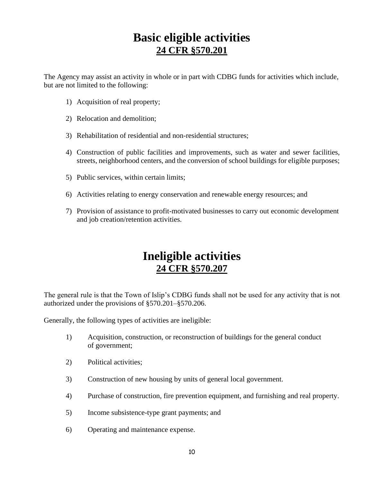# **Basic eligible activities 24 CFR §570.201**

The Agency may assist an activity in whole or in part with CDBG funds for activities which include, but are not limited to the following:

- 1) Acquisition of real property;
- 2) Relocation and demolition;
- 3) Rehabilitation of residential and non-residential structures;
- 4) Construction of public facilities and improvements, such as water and sewer facilities, streets, neighborhood centers, and the conversion of school buildings for eligible purposes;
- 5) Public services, within certain limits;
- 6) Activities relating to energy conservation and renewable energy resources; and
- 7) Provision of assistance to profit-motivated businesses to carry out economic development and job creation/retention activities.

# **Ineligible activities 24 CFR §570.207**

The general rule is that the Town of Islip's CDBG funds shall not be used for any activity that is not authorized under the provisions of §570.201–§570.206.

Generally, the following types of activities are ineligible:

- 1) Acquisition, construction, or reconstruction of buildings for the general conduct of government;
- 2) Political activities;
- 3) Construction of new housing by units of general local government.
- 4) Purchase of construction, fire prevention equipment, and furnishing and real property.
- 5) Income subsistence-type grant payments; and
- 6) Operating and maintenance expense.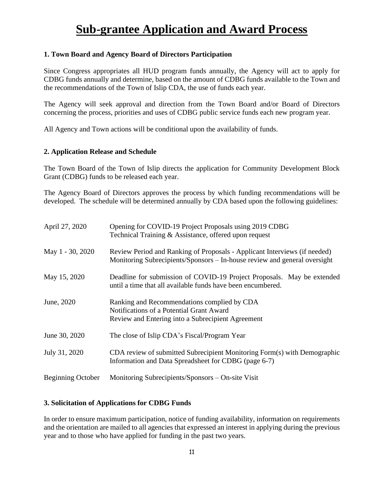# **Sub-grantee Application and Award Process**

### **1. Town Board and Agency Board of Directors Participation**

Since Congress appropriates all HUD program funds annually, the Agency will act to apply for CDBG funds annually and determine, based on the amount of CDBG funds available to the Town and the recommendations of the Town of Islip CDA, the use of funds each year.

The Agency will seek approval and direction from the Town Board and/or Board of Directors concerning the process, priorities and uses of CDBG public service funds each new program year.

All Agency and Town actions will be conditional upon the availability of funds.

### **2. Application Release and Schedule**

The Town Board of the Town of Islip directs the application for Community Development Block Grant (CDBG) funds to be released each year.

The Agency Board of Directors approves the process by which funding recommendations will be developed. The schedule will be determined annually by CDA based upon the following guidelines:

| April 27, 2020           | Opening for COVID-19 Project Proposals using 2019 CDBG<br>Technical Training & Assistance, offered upon request                                        |  |  |  |
|--------------------------|--------------------------------------------------------------------------------------------------------------------------------------------------------|--|--|--|
| May 1 - 30, 2020         | Review Period and Ranking of Proposals - Applicant Interviews (if needed)<br>Monitoring Subrecipients/Sponsors – In-house review and general oversight |  |  |  |
| May 15, 2020             | Deadline for submission of COVID-19 Project Proposals. May be extended<br>until a time that all available funds have been encumbered.                  |  |  |  |
| June, 2020               | Ranking and Recommendations complied by CDA<br>Notifications of a Potential Grant Award<br>Review and Entering into a Subrecipient Agreement           |  |  |  |
| June 30, 2020            | The close of Islip CDA's Fiscal/Program Year                                                                                                           |  |  |  |
| July 31, 2020            | CDA review of submitted Subrecipient Monitoring Form(s) with Demographic<br>Information and Data Spreadsheet for CDBG (page 6-7)                       |  |  |  |
| <b>Beginning October</b> | Monitoring Subrecipients/Sponsors - On-site Visit                                                                                                      |  |  |  |

#### **3. Solicitation of Applications for CDBG Funds**

In order to ensure maximum participation, notice of funding availability, information on requirements and the orientation are mailed to all agencies that expressed an interest in applying during the previous year and to those who have applied for funding in the past two years.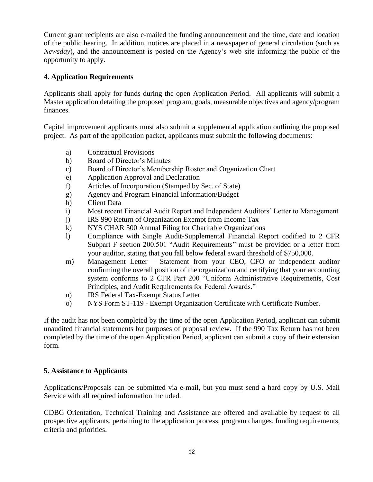Current grant recipients are also e-mailed the funding announcement and the time, date and location of the public hearing. In addition, notices are placed in a newspaper of general circulation (such as *Newsday*), and the announcement is posted on the Agency's web site informing the public of the opportunity to apply.

### **4. Application Requirements**

Applicants shall apply for funds during the open Application Period. All applicants will submit a Master application detailing the proposed program, goals, measurable objectives and agency/program finances.

Capital improvement applicants must also submit a supplemental application outlining the proposed project. As part of the application packet, applicants must submit the following documents:

- a) Contractual Provisions
- b) Board of Director's Minutes
- c) Board of Director's Membership Roster and Organization Chart
- e) Application Approval and Declaration
- f) Articles of Incorporation (Stamped by Sec. of State)
- g) Agency and Program Financial Information/Budget
- h) Client Data
- i) Most recent Financial Audit Report and Independent Auditors' Letter to Management
- j) IRS 990 Return of Organization Exempt from Income Tax
- k) NYS CHAR 500 Annual Filing for Charitable Organizations
- l) Compliance with Single Audit-Supplemental Financial Report codified to 2 CFR Subpart F section 200.501 "Audit Requirements" must be provided or a letter from your auditor, stating that you fall below federal award threshold of \$750,000.
- m) Management Letter Statement from your CEO, CFO or independent auditor confirming the overall position of the organization and certifying that your accounting system conforms to 2 CFR Part 200 "Uniform Administrative Requirements, Cost Principles, and Audit Requirements for Federal Awards."
- n) IRS Federal Tax-Exempt Status Letter
- o) NYS Form ST-119 Exempt Organization Certificate with Certificate Number.

If the audit has not been completed by the time of the open Application Period, applicant can submit unaudited financial statements for purposes of proposal review. If the 990 Tax Return has not been completed by the time of the open Application Period, applicant can submit a copy of their extension form.

### **5. Assistance to Applicants**

Applications/Proposals can be submitted via e-mail, but you must send a hard copy by U.S. Mail Service with all required information included.

CDBG Orientation, Technical Training and Assistance are offered and available by request to all prospective applicants, pertaining to the application process, program changes, funding requirements, criteria and priorities.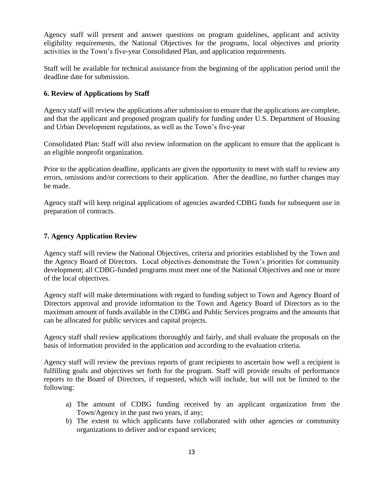Agency staff will present and answer questions on program guidelines, applicant and activity eligibility requirements, the National Objectives for the programs, local objectives and priority activities in the Town's five-year Consolidated Plan, and application requirements.

Staff will be available for technical assistance from the beginning of the application period until the deadline date for submission.

### **6. Review of Applications by Staff**

Agency staff will review the applications after submission to ensure that the applications are complete, and that the applicant and proposed program qualify for funding under U.S. Department of Housing and Urban Development regulations, as well as the Town's five-year

Consolidated Plan: Staff will also review information on the applicant to ensure that the applicant is an eligible nonprofit organization.

Prior to the application deadline, applicants are given the opportunity to meet with staff to review any errors, omissions and/or corrections to their application. After the deadline, no further changes may be made.

Agency staff will keep original applications of agencies awarded CDBG funds for subsequent use in preparation of contracts.

### **7. Agency Application Review**

Agency staff will review the National Objectives, criteria and priorities established by the Town and the Agency Board of Directors. Local objectives demonstrate the Town's priorities for community development; all CDBG-funded programs must meet one of the National Objectives and one or more of the local objectives.

Agency staff will make determinations with regard to funding subject to Town and Agency Board of Directors approval and provide information to the Town and Agency Board of Directors as to the maximum amount of funds available in the CDBG and Public Services programs and the amounts that can be allocated for public services and capital projects.

Agency staff shall review applications thoroughly and fairly, and shall evaluate the proposals on the basis of information provided in the application and according to the evaluation criteria.

Agency staff will review the previous reports of grant recipients to ascertain how well a recipient is fulfilling goals and objectives set forth for the program. Staff will provide results of performance reports to the Board of Directors, if requested, which will include, but will not be limited to the following:

- a) The amount of CDBG funding received by an applicant organization from the Town/Agency in the past two years, if any;
- b) The extent to which applicants have collaborated with other agencies or community organizations to deliver and/or expand services;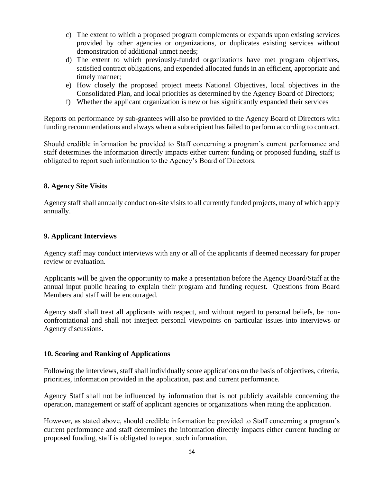- c) The extent to which a proposed program complements or expands upon existing services provided by other agencies or organizations, or duplicates existing services without demonstration of additional unmet needs;
- d) The extent to which previously-funded organizations have met program objectives, satisfied contract obligations, and expended allocated funds in an efficient, appropriate and timely manner;
- e) How closely the proposed project meets National Objectives, local objectives in the Consolidated Plan, and local priorities as determined by the Agency Board of Directors;
- f) Whether the applicant organization is new or has significantly expanded their services

Reports on performance by sub-grantees will also be provided to the Agency Board of Directors with funding recommendations and always when a subrecipient has failed to perform according to contract.

Should credible information be provided to Staff concerning a program's current performance and staff determines the information directly impacts either current funding or proposed funding, staff is obligated to report such information to the Agency's Board of Directors.

#### **8. Agency Site Visits**

Agency staff shall annually conduct on-site visits to all currently funded projects, many of which apply annually.

### **9. Applicant Interviews**

Agency staff may conduct interviews with any or all of the applicants if deemed necessary for proper review or evaluation.

Applicants will be given the opportunity to make a presentation before the Agency Board/Staff at the annual input public hearing to explain their program and funding request. Questions from Board Members and staff will be encouraged.

Agency staff shall treat all applicants with respect, and without regard to personal beliefs, be nonconfrontational and shall not interject personal viewpoints on particular issues into interviews or Agency discussions.

#### **10. Scoring and Ranking of Applications**

Following the interviews, staff shall individually score applications on the basis of objectives, criteria, priorities, information provided in the application, past and current performance.

Agency Staff shall not be influenced by information that is not publicly available concerning the operation, management or staff of applicant agencies or organizations when rating the application.

However, as stated above, should credible information be provided to Staff concerning a program's current performance and staff determines the information directly impacts either current funding or proposed funding, staff is obligated to report such information.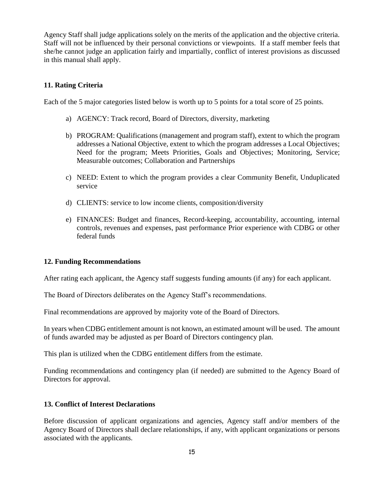Agency Staff shall judge applications solely on the merits of the application and the objective criteria. Staff will not be influenced by their personal convictions or viewpoints. If a staff member feels that she/he cannot judge an application fairly and impartially, conflict of interest provisions as discussed in this manual shall apply.

### **11. Rating Criteria**

Each of the 5 major categories listed below is worth up to 5 points for a total score of 25 points.

- a) AGENCY: Track record, Board of Directors, diversity, marketing
- b) PROGRAM: Qualifications (management and program staff), extent to which the program addresses a National Objective, extent to which the program addresses a Local Objectives; Need for the program; Meets Priorities, Goals and Objectives; Monitoring, Service; Measurable outcomes; Collaboration and Partnerships
- c) NEED: Extent to which the program provides a clear Community Benefit, Unduplicated service
- d) CLIENTS: service to low income clients, composition/diversity
- e) FINANCES: Budget and finances, Record-keeping, accountability, accounting, internal controls, revenues and expenses, past performance Prior experience with CDBG or other federal funds

### **12. Funding Recommendations**

After rating each applicant, the Agency staff suggests funding amounts (if any) for each applicant.

The Board of Directors deliberates on the Agency Staff's recommendations.

Final recommendations are approved by majority vote of the Board of Directors.

In years when CDBG entitlement amount is not known, an estimated amount will be used. The amount of funds awarded may be adjusted as per Board of Directors contingency plan.

This plan is utilized when the CDBG entitlement differs from the estimate.

Funding recommendations and contingency plan (if needed) are submitted to the Agency Board of Directors for approval.

### **13. Conflict of Interest Declarations**

Before discussion of applicant organizations and agencies, Agency staff and/or members of the Agency Board of Directors shall declare relationships, if any, with applicant organizations or persons associated with the applicants.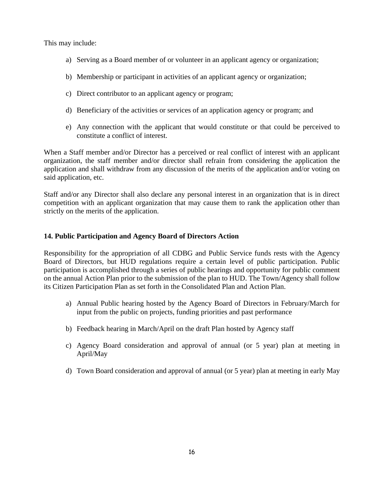This may include:

- a) Serving as a Board member of or volunteer in an applicant agency or organization;
- b) Membership or participant in activities of an applicant agency or organization;
- c) Direct contributor to an applicant agency or program;
- d) Beneficiary of the activities or services of an application agency or program; and
- e) Any connection with the applicant that would constitute or that could be perceived to constitute a conflict of interest.

When a Staff member and/or Director has a perceived or real conflict of interest with an applicant organization, the staff member and/or director shall refrain from considering the application the application and shall withdraw from any discussion of the merits of the application and/or voting on said application, etc.

Staff and/or any Director shall also declare any personal interest in an organization that is in direct competition with an applicant organization that may cause them to rank the application other than strictly on the merits of the application.

### **14. Public Participation and Agency Board of Directors Action**

Responsibility for the appropriation of all CDBG and Public Service funds rests with the Agency Board of Directors, but HUD regulations require a certain level of public participation. Public participation is accomplished through a series of public hearings and opportunity for public comment on the annual Action Plan prior to the submission of the plan to HUD. The Town/Agency shall follow its Citizen Participation Plan as set forth in the Consolidated Plan and Action Plan.

- a) Annual Public hearing hosted by the Agency Board of Directors in February/March for input from the public on projects, funding priorities and past performance
- b) Feedback hearing in March/April on the draft Plan hosted by Agency staff
- c) Agency Board consideration and approval of annual (or 5 year) plan at meeting in April/May
- d) Town Board consideration and approval of annual (or 5 year) plan at meeting in early May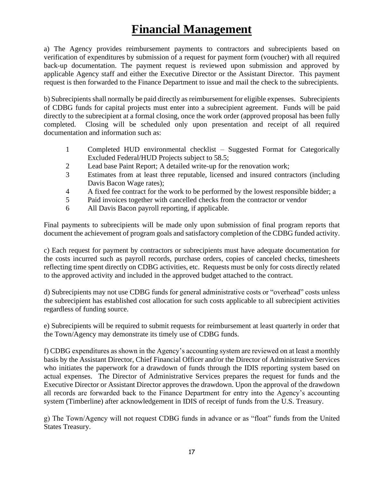# **Financial Management**

a) The Agency provides reimbursement payments to contractors and subrecipients based on verification of expenditures by submission of a request for payment form (voucher) with all required back-up documentation. The payment request is reviewed upon submission and approved by applicable Agency staff and either the Executive Director or the Assistant Director. This payment request is then forwarded to the Finance Department to issue and mail the check to the subrecipients.

b) Subrecipients shall normally be paid directly as reimbursement for eligible expenses. Subrecipients of CDBG funds for capital projects must enter into a subrecipient agreement. Funds will be paid directly to the subrecipient at a formal closing, once the work order (approved proposal has been fully completed. Closing will be scheduled only upon presentation and receipt of all required documentation and information such as:

- 1 Completed HUD environmental checklist Suggested Format for Categorically Excluded Federal/HUD Projects subject to 58.5;
- 2 Lead base Paint Report; A detailed write-up for the renovation work;
- 3 Estimates from at least three reputable, licensed and insured contractors (including Davis Bacon Wage rates);
- 4 A fixed fee contract for the work to be performed by the lowest responsible bidder; a
- 5 Paid invoices together with cancelled checks from the contractor or vendor
- 6 All Davis Bacon payroll reporting, if applicable.

Final payments to subrecipients will be made only upon submission of final program reports that document the achievement of program goals and satisfactory completion of the CDBG funded activity.

c) Each request for payment by contractors or subrecipients must have adequate documentation for the costs incurred such as payroll records, purchase orders, copies of canceled checks, timesheets reflecting time spent directly on CDBG activities, etc. Requests must be only for costs directly related to the approved activity and included in the approved budget attached to the contract.

d) Subrecipients may not use CDBG funds for general administrative costs or "overhead" costs unless the subrecipient has established cost allocation for such costs applicable to all subrecipient activities regardless of funding source.

e) Subrecipients will be required to submit requests for reimbursement at least quarterly in order that the Town/Agency may demonstrate its timely use of CDBG funds.

f) CDBG expenditures as shown in the Agency's accounting system are reviewed on at least a monthly basis by the Assistant Director, Chief Financial Officer and/or the Director of Administrative Services who initiates the paperwork for a drawdown of funds through the IDIS reporting system based on actual expenses. The Director of Administrative Services prepares the request for funds and the Executive Director or Assistant Director approves the drawdown. Upon the approval of the drawdown all records are forwarded back to the Finance Department for entry into the Agency's accounting system (Timberline) after acknowledgement in IDIS of receipt of funds from the U.S. Treasury.

g) The Town/Agency will not request CDBG funds in advance or as "float" funds from the United States Treasury.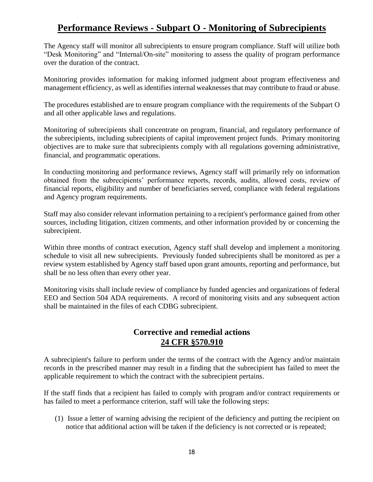## **Performance Reviews - Subpart O - Monitoring of Subrecipients**

The Agency staff will monitor all subrecipients to ensure program compliance. Staff will utilize both "Desk Monitoring" and "Internal/On-site" monitoring to assess the quality of program performance over the duration of the contract.

Monitoring provides information for making informed judgment about program effectiveness and management efficiency, as well as identifies internal weaknesses that may contribute to fraud or abuse.

The procedures established are to ensure program compliance with the requirements of the Subpart O and all other applicable laws and regulations.

Monitoring of subrecipients shall concentrate on program, financial, and regulatory performance of the subrecipients, including subrecipients of capital improvement project funds. Primary monitoring objectives are to make sure that subrecipients comply with all regulations governing administrative, financial, and programmatic operations.

In conducting monitoring and performance reviews, Agency staff will primarily rely on information obtained from the subrecipients' performance reports, records, audits, allowed costs, review of financial reports, eligibility and number of beneficiaries served, compliance with federal regulations and Agency program requirements.

Staff may also consider relevant information pertaining to a recipient's performance gained from other sources, including litigation, citizen comments, and other information provided by or concerning the subrecipient.

Within three months of contract execution, Agency staff shall develop and implement a monitoring schedule to visit all new subrecipients. Previously funded subrecipients shall be monitored as per a review system established by Agency staff based upon grant amounts, reporting and performance, but shall be no less often than every other year.

Monitoring visits shall include review of compliance by funded agencies and organizations of federal EEO and Section 504 ADA requirements. A record of monitoring visits and any subsequent action shall be maintained in the files of each CDBG subrecipient.

## **Corrective and remedial actions 24 CFR §570.910**

A subrecipient's failure to perform under the terms of the contract with the Agency and/or maintain records in the prescribed manner may result in a finding that the subrecipient has failed to meet the applicable requirement to which the contract with the subrecipient pertains.

If the staff finds that a recipient has failed to comply with program and/or contract requirements or has failed to meet a performance criterion, staff will take the following steps:

(1) Issue a letter of warning advising the recipient of the deficiency and putting the recipient on notice that additional action will be taken if the deficiency is not corrected or is repeated;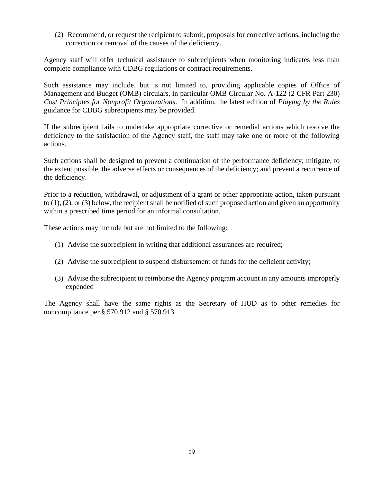(2) Recommend, or request the recipient to submit, proposals for corrective actions, including the correction or removal of the causes of the deficiency.

Agency staff will offer technical assistance to subrecipients when monitoring indicates less than complete compliance with CDBG regulations or contract requirements.

Such assistance may include, but is not limited to, providing applicable copies of Office of Management and Budget (OMB) circulars, in particular OMB Circular No. A-122 (2 CFR Part 230) *Cost Principles for Nonprofit Organizations*. In addition, the latest edition of *Playing by the Rules* guidance for CDBG subrecipients may be provided.

If the subrecipient fails to undertake appropriate corrective or remedial actions which resolve the deficiency to the satisfaction of the Agency staff, the staff may take one or more of the following actions.

Such actions shall be designed to prevent a continuation of the performance deficiency; mitigate, to the extent possible, the adverse effects or consequences of the deficiency; and prevent a recurrence of the deficiency.

Prior to a reduction, withdrawal, or adjustment of a grant or other appropriate action, taken pursuant to (1), (2), or (3) below, the recipient shall be notified of such proposed action and given an opportunity within a prescribed time period for an informal consultation.

These actions may include but are not limited to the following:

- (1) Advise the subrecipient in writing that additional assurances are required;
- (2) Advise the subrecipient to suspend disbursement of funds for the deficient activity;
- (3) Advise the subrecipient to reimburse the Agency program account in any amounts improperly expended

The Agency shall have the same rights as the Secretary of HUD as to other remedies for noncompliance per § 570.912 and § 570.913.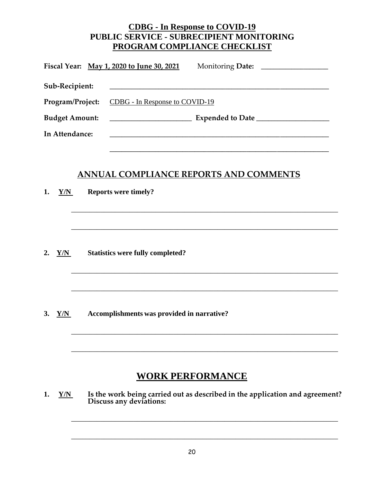## **CDBG - In Response to COVID-19 PUBLIC SERVICE - SUBRECIPIENT MONITORING PROGRAM COMPLIANCE CHECKLIST**

| Fiscal Year: May 1, 2020 to June 30, 2021              |                                       |
|--------------------------------------------------------|---------------------------------------|
| Sub-Recipient:                                         |                                       |
| <b>Program/Project:</b> CDBG - In Response to COVID-19 |                                       |
| <b>Budget Amount:</b>                                  |                                       |
| In Attendance:                                         |                                       |
|                                                        |                                       |
|                                                        | NNUAL COMPLIANCE REPORTS AND COMMENTS |

\_\_\_\_\_\_\_\_\_\_\_\_\_\_\_\_\_\_\_\_\_\_\_\_\_\_\_\_\_\_\_\_\_\_\_\_\_\_\_\_\_\_\_\_\_\_\_\_\_\_\_\_\_\_\_\_\_\_\_\_\_\_\_\_\_\_\_\_\_\_\_\_\_

\_\_\_\_\_\_\_\_\_\_\_\_\_\_\_\_\_\_\_\_\_\_\_\_\_\_\_\_\_\_\_\_\_\_\_\_\_\_\_\_\_\_\_\_\_\_\_\_\_\_\_\_\_\_\_\_\_\_\_\_\_\_\_\_\_\_\_\_\_\_\_\_\_

\_\_\_\_\_\_\_\_\_\_\_\_\_\_\_\_\_\_\_\_\_\_\_\_\_\_\_\_\_\_\_\_\_\_\_\_\_\_\_\_\_\_\_\_\_\_\_\_\_\_\_\_\_\_\_\_\_\_\_\_\_\_\_\_\_\_\_\_\_\_\_\_\_

\_\_\_\_\_\_\_\_\_\_\_\_\_\_\_\_\_\_\_\_\_\_\_\_\_\_\_\_\_\_\_\_\_\_\_\_\_\_\_\_\_\_\_\_\_\_\_\_\_\_\_\_\_\_\_\_\_\_\_\_\_\_\_\_\_\_\_\_\_\_\_\_\_

\_\_\_\_\_\_\_\_\_\_\_\_\_\_\_\_\_\_\_\_\_\_\_\_\_\_\_\_\_\_\_\_\_\_\_\_\_\_\_\_\_\_\_\_\_\_\_\_\_\_\_\_\_\_\_\_\_\_\_\_\_\_\_\_\_\_\_\_\_\_\_\_\_

\_\_\_\_\_\_\_\_\_\_\_\_\_\_\_\_\_\_\_\_\_\_\_\_\_\_\_\_\_\_\_\_\_\_\_\_\_\_\_\_\_\_\_\_\_\_\_\_\_\_\_\_\_\_\_\_\_\_\_\_\_\_\_\_\_\_\_\_\_\_\_\_\_

\_\_\_\_\_\_\_\_\_\_\_\_\_\_\_\_\_\_\_\_\_\_\_\_\_\_\_\_\_\_\_\_\_\_\_\_\_\_\_\_\_\_\_\_\_\_\_\_\_\_\_\_\_\_\_\_\_\_\_\_\_\_\_\_\_\_\_\_\_\_\_\_\_

\_\_\_\_\_\_\_\_\_\_\_\_\_\_\_\_\_\_\_\_\_\_\_\_\_\_\_\_\_\_\_\_\_\_\_\_\_\_\_\_\_\_\_\_\_\_\_\_\_\_\_\_\_\_\_\_\_\_\_\_\_\_\_\_\_\_\_\_\_\_\_\_\_

**1. Y/N Reports were timely?**

**2. Y/N Statistics were fully completed?**

**3. Y/N Accomplishments was provided in narrative?**

## **WORK PERFORMANCE**

**1. Y/N Is the work being carried out as described in the application and agreement? Discuss any deviations:**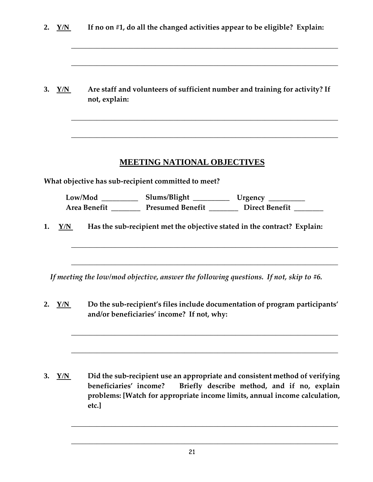| 2. | Y/N      | If no on #1, do all the changed activities appear to be eligible? Explain:<br>Are staff and volunteers of sufficient number and training for activity? If<br>not, explain:                                                                  |  |  |  |  |
|----|----------|---------------------------------------------------------------------------------------------------------------------------------------------------------------------------------------------------------------------------------------------|--|--|--|--|
|    | 3. $Y/N$ |                                                                                                                                                                                                                                             |  |  |  |  |
|    |          | <b>MEETING NATIONAL OBJECTIVES</b>                                                                                                                                                                                                          |  |  |  |  |
|    |          | What objective has sub-recipient committed to meet?                                                                                                                                                                                         |  |  |  |  |
|    |          | Low/Mod _____________ Slums/Blight ______________ Urgency __________                                                                                                                                                                        |  |  |  |  |
|    |          | Area Benefit __________ Presumed Benefit _________ Direct Benefit _______                                                                                                                                                                   |  |  |  |  |
| 1. | Y/N      | Has the sub-recipient met the objective stated in the contract? Explain:                                                                                                                                                                    |  |  |  |  |
|    |          | If meeting the low/mod objective, answer the following questions. If not, skip to $#6$ .                                                                                                                                                    |  |  |  |  |
| 2. | Y/N      | Do the sub-recipient's files include documentation of program participants'<br>and/or beneficiaries' income? If not, why:                                                                                                                   |  |  |  |  |
| 3. | Y/N      | Did the sub-recipient use an appropriate and consistent method of verifying<br>Briefly describe method, and if no, explain<br>beneficiaries' income?<br>problems: [Watch for appropriate income limits, annual income calculation,<br>etc.] |  |  |  |  |

\_\_\_\_\_\_\_\_\_\_\_\_\_\_\_\_\_\_\_\_\_\_\_\_\_\_\_\_\_\_\_\_\_\_\_\_\_\_\_\_\_\_\_\_\_\_\_\_\_\_\_\_\_\_\_\_\_\_\_\_\_\_\_\_\_\_\_\_\_\_\_\_\_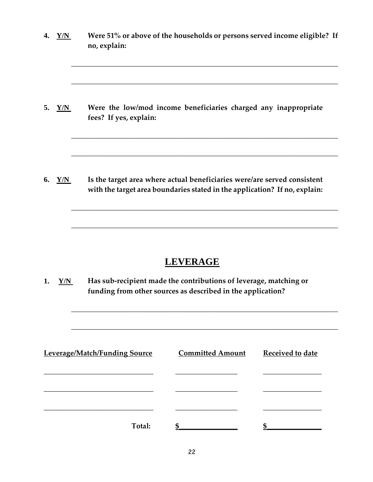|    | Y/N | Were 51% or above of the households or persons served income eligible? If<br>no, explain:                                                              |
|----|-----|--------------------------------------------------------------------------------------------------------------------------------------------------------|
| 5. | Y/N | Were the low/mod income beneficiaries charged any inappropriate<br>fees? If yes, explain:                                                              |
| 6. | Y/N | Is the target area where actual beneficiaries were/are served consistent<br>with the target area boundaries stated in the application? If no, explain: |

# **LEVERAGE**

\_\_\_\_\_\_\_\_\_\_\_\_\_\_\_\_\_\_\_\_\_\_\_\_\_\_\_\_\_\_\_\_\_\_\_\_\_\_\_\_\_\_\_\_\_\_\_\_\_\_\_\_\_\_\_\_\_\_\_\_\_\_\_\_\_\_\_\_\_\_\_\_\_

\_\_\_\_\_\_\_\_\_\_\_\_\_\_\_\_\_\_\_\_\_\_\_\_\_\_\_\_\_\_\_\_\_\_\_\_\_\_\_\_\_\_\_\_\_\_\_\_\_\_\_\_\_\_\_\_\_\_\_\_\_\_\_\_\_\_\_\_\_\_\_\_\_

**1. Y/N Has sub-recipient made the contributions of leverage, matching or funding from other sources as described in the application?**

| Leverage/Match/Funding Source | <b>Committed Amount</b> | Received to date |
|-------------------------------|-------------------------|------------------|
|                               |                         |                  |
|                               |                         |                  |
|                               |                         |                  |
| Total:                        |                         |                  |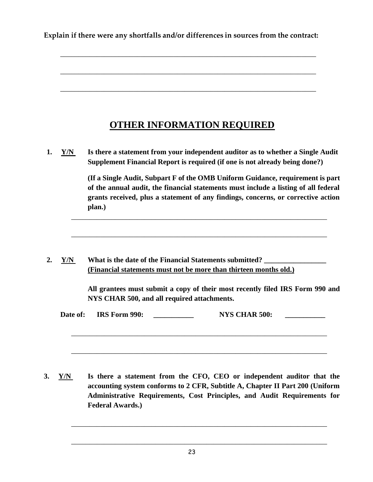**Explain if there were any shortfalls and/or differences in sources from the contract:**

\_\_\_\_\_\_\_\_\_\_\_\_\_\_\_\_\_\_\_\_\_\_\_\_\_\_\_\_\_\_\_\_\_\_\_\_\_\_\_\_\_\_\_\_\_\_\_\_\_\_\_\_\_\_\_\_\_\_\_\_\_\_\_\_\_\_\_\_\_\_

\_\_\_\_\_\_\_\_\_\_\_\_\_\_\_\_\_\_\_\_\_\_\_\_\_\_\_\_\_\_\_\_\_\_\_\_\_\_\_\_\_\_\_\_\_\_\_\_\_\_\_\_\_\_\_\_\_\_\_\_\_\_\_\_\_\_\_\_\_\_

\_\_\_\_\_\_\_\_\_\_\_\_\_\_\_\_\_\_\_\_\_\_\_\_\_\_\_\_\_\_\_\_\_\_\_\_\_\_\_\_\_\_\_\_\_\_\_\_\_\_\_\_\_\_\_\_\_\_\_\_\_\_\_\_\_\_\_\_\_\_

## **OTHER INFORMATION REQUIRED**

**1. Y/N Is there a statement from your independent auditor as to whether a Single Audit Supplement Financial Report is required (if one is not already being done?)**

\_\_\_\_\_\_\_\_\_\_\_\_\_\_\_\_\_\_\_\_\_\_\_\_\_\_\_\_\_\_\_\_\_\_\_\_\_\_\_\_\_\_\_\_\_\_\_\_\_\_\_\_\_\_\_\_\_\_\_\_\_\_\_\_\_\_\_\_\_\_

\_\_\_\_\_\_\_\_\_\_\_\_\_\_\_\_\_\_\_\_\_\_\_\_\_\_\_\_\_\_\_\_\_\_\_\_\_\_\_\_\_\_\_\_\_\_\_\_\_\_\_\_\_\_\_\_\_\_\_\_\_\_\_\_\_\_\_\_\_\_

**(If a Single Audit, Subpart F of the OMB Uniform Guidance, requirement is part of the annual audit, the financial statements must include a listing of all federal grants received, plus a statement of any findings, concerns, or corrective action plan.)**

2. Y/N What is the date of the Financial Statements submitted? **(Financial statements must not be more than thirteen months old.)**

> **All grantees must submit a copy of their most recently filed IRS Form 990 and NYS CHAR 500, and all required attachments.**

| Date of: | IRS Form 990: | <b>NYS CHAR 500:</b> |  |
|----------|---------------|----------------------|--|
|          |               |                      |  |

\_\_\_\_\_\_\_\_\_\_\_\_\_\_\_\_\_\_\_\_\_\_\_\_\_\_\_\_\_\_\_\_\_\_\_\_\_\_\_\_\_\_\_\_\_\_\_\_\_\_\_\_\_\_\_\_\_\_\_\_\_\_\_\_\_\_\_\_\_\_

\_\_\_\_\_\_\_\_\_\_\_\_\_\_\_\_\_\_\_\_\_\_\_\_\_\_\_\_\_\_\_\_\_\_\_\_\_\_\_\_\_\_\_\_\_\_\_\_\_\_\_\_\_\_\_\_\_\_\_\_\_\_\_\_\_\_\_\_\_\_

**3. Y/N Is there a statement from the CFO, CEO or independent auditor that the accounting system conforms to 2 CFR, Subtitle A, Chapter II Part 200 (Uniform Administrative Requirements, Cost Principles, and Audit Requirements for Federal Awards.)**

\_\_\_\_\_\_\_\_\_\_\_\_\_\_\_\_\_\_\_\_\_\_\_\_\_\_\_\_\_\_\_\_\_\_\_\_\_\_\_\_\_\_\_\_\_\_\_\_\_\_\_\_\_\_\_\_\_\_\_\_\_\_\_\_\_\_\_\_\_\_

\_\_\_\_\_\_\_\_\_\_\_\_\_\_\_\_\_\_\_\_\_\_\_\_\_\_\_\_\_\_\_\_\_\_\_\_\_\_\_\_\_\_\_\_\_\_\_\_\_\_\_\_\_\_\_\_\_\_\_\_\_\_\_\_\_\_\_\_\_\_